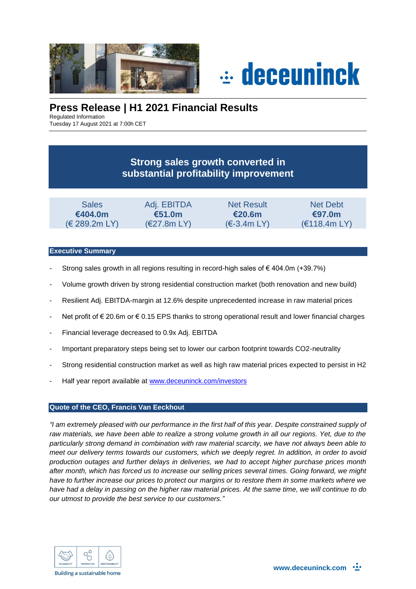



# **Press Release | H1 2021 Financial Results**

Regulated Information

Tuesday 17 August 2021 at 7:00h CET

# **Strong sales growth converted in substantial profitability improvement**

| <b>Sales</b>  | Adj. EBITDA           | <b>Net Result</b> | Net Debt     |
|---------------|-----------------------|-------------------|--------------|
| €404.0m       | €51.0m                | €20.6m            | €97.0m       |
| (E 289.2m LY) | $(\epsilon$ 27.8m LY) | $(\in$ -3.4m LY)  | (E118.4m LY) |

### **Executive Summary**

- Strong sales growth in all regions resulting in record-high sales of  $\epsilon$  404.0m (+39.7%)
- Volume growth driven by strong residential construction market (both renovation and new build)
- Resilient Adj. EBITDA-margin at 12.6% despite unprecedented increase in raw material prices
- Net profit of € 20.6m or € 0.15 EPS thanks to strong operational result and lower financial charges
- Financial leverage decreased to 0.9x Adj. EBITDA
- Important preparatory steps being set to lower our carbon footprint towards CO2-neutrality
- Strong residential construction market as well as high raw material prices expected to persist in H2
- Half year report available at [www.deceuninck.com/investors](http://www.deceuninck.com/investors)

### **Quote of the CEO, Francis Van Eeckhout**

*"I am extremely pleased with our performance in the first half of this year. Despite constrained supply of*  raw materials, we have been able to realize a strong volume growth in all our regions. Yet, due to the *particularly strong demand in combination with raw material scarcity, we have not always been able to meet our delivery terms towards our customers, which we deeply regret. In addition, in order to avoid production outages and further delays in deliveries, we had to accept higher purchase prices month after month, which has forced us to increase our selling prices several times. Going forward, we might have to further increase our prices to protect our margins or to restore them in some markets where we have had a delay in passing on the higher raw material prices. At the same time, we will continue to do our utmost to provide the best service to our customers."*

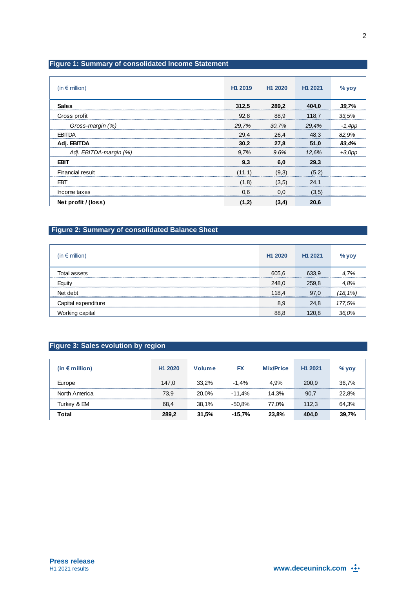## **Figure 1: Summary of consolidated Income Statement**

| (in $\epsilon$ million) | H1 2019 | H <sub>1</sub> 2020 | H1 2021 | $%$ yoy   |
|-------------------------|---------|---------------------|---------|-----------|
| <b>Sales</b>            | 312,5   | 289,2               | 404,0   | 39,7%     |
| Gross profit            | 92,8    | 88,9                | 118,7   | 33.5%     |
| Gross-margin (%)        | 29,7%   | 30,7%               | 29,4%   | $-1, 4pp$ |
| <b>EBITDA</b>           | 29,4    | 26,4                | 48,3    | 82,9%     |
| Adj. EBITDA             | 30,2    | 27,8                | 51,0    | 83,4%     |
| Adj. EBITDA-margin (%)  | 9.7%    | 9.6%                | 12.6%   | $+3,0$ pp |
| EBIT                    | 9,3     | 6.0                 | 29,3    |           |
| Financial result        | (11,1)  | (9,3)               | (5,2)   |           |
| EBT                     | (1,8)   | (3,5)               | 24,1    |           |
| Income taxes            | 0.6     | 0.0                 | (3,5)   |           |
| Net profit / (loss)     | (1,2)   | (3,4)               | 20,6    |           |

## **Figure 2: Summary of consolidated Balance Sheet**

| (in $\epsilon$ million) | H <sub>1</sub> 2020 | H <sub>1</sub> 2021 | $%$ yoy     |
|-------------------------|---------------------|---------------------|-------------|
| Total assets            | 605,6               | 633,9               | 4.7%        |
| Equity                  | 248,0               | 259,8               | 4.8%        |
| Net debt                | 118.4               | 97.0                | $(18, 1\%)$ |
| Capital expenditure     | 8.9                 | 24.8                | 177,5%      |
| Working capital         | 88,8                | 120,8               | 36.0%       |

## **Figure 3: Sales evolution by region**

| (in $\epsilon$ million) | H <sub>1</sub> 2020 | Volume | FX       | <b>Mix/Price</b> | H <sub>1</sub> 2021 | $%$ yoy |
|-------------------------|---------------------|--------|----------|------------------|---------------------|---------|
| Europe                  | 147.0               | 33.2%  | $-1.4%$  | 4.9%             | 200.9               | 36,7%   |
| North America           | 73.9                | 20.0%  | $-11.4%$ | 14.3%            | 90.7                | 22.8%   |
| Turkey & EM             | 68,4                | 38.1%  | $-50.8%$ | 77.0%            | 112.3               | 64,3%   |
| Total                   | 289,2               | 31.5%  | $-15.7%$ | 23.8%            | 404.0               | 39,7%   |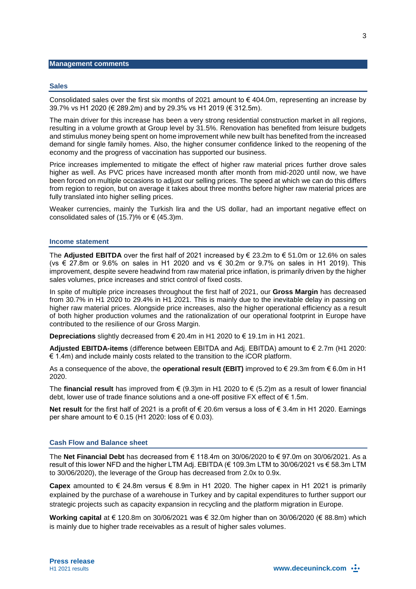#### **Sales**

Consolidated sales over the first six months of 2021 amount to  $\epsilon$  404.0m, representing an increase by 39.7% vs H1 2020 (€ 289.2m) and by 29.3% vs H1 2019 (€ 312.5m).

The main driver for this increase has been a very strong residential construction market in all regions, resulting in a volume growth at Group level by 31.5%. Renovation has benefited from leisure budgets and stimulus money being spent on home improvement while new built has benefited from the increased demand for single family homes. Also, the higher consumer confidence linked to the reopening of the economy and the progress of vaccination has supported our business.

Price increases implemented to mitigate the effect of higher raw material prices further drove sales higher as well. As PVC prices have increased month after month from mid-2020 until now, we have been forced on multiple occasions to adjust our selling prices. The speed at which we can do this differs from region to region, but on average it takes about three months before higher raw material prices are fully translated into higher selling prices.

Weaker currencies, mainly the Turkish lira and the US dollar, had an important negative effect on consolidated sales of (15.7)% or  $\epsilon$  (45.3)m.

#### **Income statement**

The **Adjusted EBITDA** over the first half of 2021 increased by € 23.2m to € 51.0m or 12.6% on sales (vs € 27.8m or 9.6% on sales in H1 2020 and vs € 30.2m or 9.7% on sales in H1 2019). This improvement, despite severe headwind from raw material price inflation, is primarily driven by the higher sales volumes, price increases and strict control of fixed costs.

In spite of multiple price increases throughout the first half of 2021, our **Gross Margin** has decreased from 30.7% in H1 2020 to 29.4% in H1 2021. This is mainly due to the inevitable delay in passing on higher raw material prices. Alongside price increases, also the higher operational efficiency as a result of both higher production volumes and the rationalization of our operational footprint in Europe have contributed to the resilience of our Gross Margin.

**Depreciations** slightly decreased from € 20.4m in H1 2020 to € 19.1m in H1 2021.

**Adjusted EBITDA-items** (difference between EBITDA and Adj. EBITDA) amount to € 2.7m (H1 2020:  $\epsilon$  1.4m) and include mainly costs related to the transition to the iCOR platform.

As a consequence of the above, the **operational result (EBIT)** improved to € 29.3m from € 6.0m in H1 2020.

The **financial result** has improved from € (9.3)m in H1 2020 to € (5.2)m as a result of lower financial debt, lower use of trade finance solutions and a one-off positive FX effect of  $\epsilon$  1.5m.

**Net result** for the first half of 2021 is a profit of € 20.6m versus a loss of € 3.4m in H1 2020. Earnings per share amount to  $\in$  0.15 (H1 2020: loss of  $\in$  0.03).

#### **Cash Flow and Balance sheet**

The **Net Financial Debt** has decreased from € 118.4m on 30/06/2020 to € 97.0m on 30/06/2021. As a result of this lower NFD and the higher LTM Adj. EBITDA (€ 109.3m LTM to 30/06/2021 vs € 58.3m LTM to 30/06/2020), the leverage of the Group has decreased from 2.0x to 0.9x.

**Capex** amounted to € 24.8m versus € 8.9m in H1 2020. The higher capex in H1 2021 is primarily explained by the purchase of a warehouse in Turkey and by capital expenditures to further support our strategic projects such as capacity expansion in recycling and the platform migration in Europe.

**Working capital** at € 120.8m on 30/06/2021 was € 32.0m higher than on 30/06/2020 (€ 88.8m) which is mainly due to higher trade receivables as a result of higher sales volumes.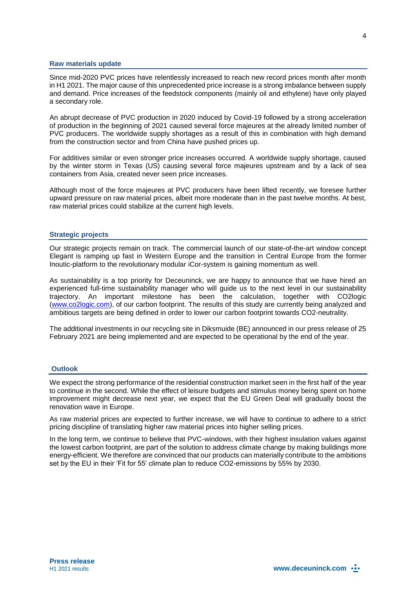#### **Raw materials update**

Since mid-2020 PVC prices have relentlessly increased to reach new record prices month after month in H1 2021. The major cause of this unprecedented price increase is a strong imbalance between supply and demand. Price increases of the feedstock components (mainly oil and ethylene) have only played a secondary role.

An abrupt decrease of PVC production in 2020 induced by Covid-19 followed by a strong acceleration of production in the beginning of 2021 caused several force majeures at the already limited number of PVC producers. The worldwide supply shortages as a result of this in combination with high demand from the construction sector and from China have pushed prices up.

For additives similar or even stronger price increases occurred. A worldwide supply shortage, caused by the winter storm in Texas (US) causing several force majeures upstream and by a lack of sea containers from Asia, created never seen price increases.

Although most of the force majeures at PVC producers have been lifted recently, we foresee further upward pressure on raw material prices, albeit more moderate than in the past twelve months. At best, raw material prices could stabilize at the current high levels.

#### **Strategic projects**

Our strategic projects remain on track. The commercial launch of our state-of-the-art window concept Elegant is ramping up fast in Western Europe and the transition in Central Europe from the former Inoutic-platform to the revolutionary modular iCor-system is gaining momentum as well.

As sustainability is a top priority for Deceuninck, we are happy to announce that we have hired an experienced full-time sustainability manager who will guide us to the next level in our sustainability trajectory. An important milestone has been the calculation, together with CO2logic [\(www.co2logic.com\)](http://www.co2logic.com/), of our carbon footprint. The results of this study are currently being analyzed and ambitious targets are being defined in order to lower our carbon footprint towards CO2-neutrality.

The additional investments in our recycling site in Diksmuide (BE) announced in our press release of 25 February 2021 are being implemented and are expected to be operational by the end of the year.

#### **Outlook**

We expect the strong performance of the residential construction market seen in the first half of the year to continue in the second. While the effect of leisure budgets and stimulus money being spent on home improvement might decrease next year, we expect that the EU Green Deal will gradually boost the renovation wave in Europe.

As raw material prices are expected to further increase, we will have to continue to adhere to a strict pricing discipline of translating higher raw material prices into higher selling prices.

In the long term, we continue to believe that PVC-windows, with their highest insulation values against the lowest carbon footprint, are part of the solution to address climate change by making buildings more energy-efficient. We therefore are convinced that our products can materially contribute to the ambitions set by the EU in their 'Fit for 55' climate plan to reduce CO2-emissions by 55% by 2030.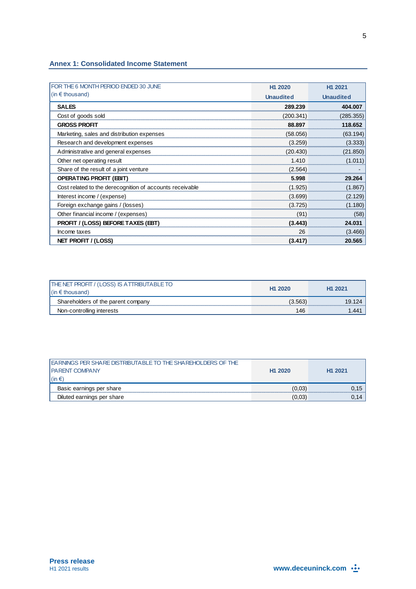#### **Annex 1: Consolidated Income Statement**

| FOR THE 6 MONTH PERIOD ENDED 30 JUNE                     | H <sub>1</sub> 2020 | H1 2021          |
|----------------------------------------------------------|---------------------|------------------|
| $(in \in$ thousand)                                      | <b>Unaudited</b>    | <b>Unaudited</b> |
| <b>SALES</b>                                             | 289.239             | 404.007          |
| Cost of goods sold                                       | (200.341)           | (285.355)        |
| <b>GROSS PROFIT</b>                                      | 88.897              | 118.652          |
| Marketing, sales and distribution expenses               | (58.056)            | (63.194)         |
| Research and development expenses                        | (3.259)             | (3.333)          |
| Administrative and general expenses                      | (20.430)            | (21.850)         |
| Other net operating result                               | 1.410               | (1.011)          |
| Share of the result of a joint venture                   | (2.564)             |                  |
| <b>OPERATING PROFIT (EBIT)</b>                           | 5.998               | 29.264           |
| Cost related to the derecognition of accounts receivable | (1.925)             | (1.867)          |
| Interest income / (expense)                              | (3.699)             | (2.129)          |
| Foreign exchange gains / (losses)                        | (3.725)             | (1.180)          |
| Other financial income / (expenses)                      | (91)                | (58)             |
| <b>PROFIT / (LOSS) BEFORE TAXES (EBT)</b>                | (3.443)             | 24.031           |
| Income taxes                                             | 26                  | (3.466)          |
| NET PROFIT / (LOSS)                                      | (3.417)             | 20.565           |

| / (LOSS) IS ATTRIBUTABLE TO<br><b>THE NET PROFIT /</b><br>$\ln \epsilon$ | H <sub>1</sub> 2020 | H1 2021 |
|--------------------------------------------------------------------------|---------------------|---------|
| Shareholders of the parent company                                       |                     |         |
| Non-controlling interests                                                | 146                 |         |

| <b>LEARNINGS PER SHARE DISTRIBUTABLE TO THE SHAREHOLDERS OF THE</b><br><b>I PARENT COMPANY</b> | H <sub>1</sub> 2020 | H <sub>1</sub> 2021 |
|------------------------------------------------------------------------------------------------|---------------------|---------------------|
| $\vert$ (in $\in$ )                                                                            |                     |                     |
| Basic earnings per share                                                                       | (0.03)              | 0.15                |
| Diluted earnings per share                                                                     | (0.03)              | 0.14                |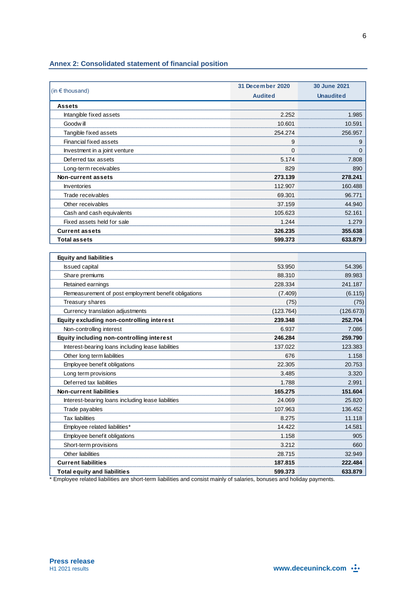## **Annex 2: Consolidated statement of financial position**

|                                                      | 31 December 2020 | <b>30 June 2021</b> |
|------------------------------------------------------|------------------|---------------------|
| (in $\epsilon$ thousand)                             | <b>Audited</b>   | <b>Unaudited</b>    |
| <b>Assets</b>                                        |                  |                     |
| Intangible fixed assets                              | 2.252            | 1.985               |
| Goodw ill                                            | 10.601           | 10.591              |
| Tangible fixed assets                                | 254.274          | 256.957             |
| Financial fixed assets                               | 9                | 9                   |
| Investment in a joint venture                        | $\Omega$         | 0                   |
| Deferred tax assets                                  | 5.174            | 7.808               |
| Long-term receivables                                | 829              | 890                 |
| Non-current assets                                   | 273.139          | 278.241             |
| Inventories                                          | 112.907          | 160.488             |
| Trade receivables                                    | 69.301           | 96.771              |
| Other receivables                                    | 37.159           | 44.940              |
| Cash and cash equivalents                            | 105.623          | 52.161              |
| Fixed assets held for sale                           | 1.244            | 1.279               |
| <b>Current assets</b>                                | 326.235          | 355.638             |
| <b>Total assets</b>                                  | 599.373          | 633.879             |
|                                                      |                  |                     |
| <b>Equity and liabilities</b>                        |                  |                     |
| <b>Issued capital</b>                                | 53.950           | 54.396              |
| Share premiums                                       | 88.310           | 89.983              |
| Retained earnings                                    | 228.334          | 241.187             |
| Remeasurement of post employment benefit obligations | (7.409)          | (6.115)             |
| Treasury shares                                      | (75)             | (75)                |
| Currency translation adjustments                     | (123.764)        | (126.673)           |
| Equity excluding non-controlling interest            | 239.348          | 252.704             |
| Non-controlling interest                             | 6.937            | 7.086               |
| Equity including non-controlling interest            | 246.284          | 259.790             |
| Interest-bearing loans including lease liabilities   | 137.022          | 123.383             |
| Other long term liabilities                          | 676              | 1.158               |
| Employee benefit obligations                         | 22.305           | 20.753              |
| Long term provisions                                 | 3.485            | 3.320               |
| Deferred tax liabilities                             | 1.788            | 2.991               |
| Non-current liabilities                              | 165.275          | 151.604             |
| Interest-bearing loans including lease liabilities   | 24.069           | 25.820              |
| Trade payables                                       | 107.963          | 136.452             |
| <b>Tax liabilities</b>                               | 8.275            | 11.118              |
| Employee related liabilities*                        | 14.422           | 14.581              |
| Employee benefit obligations                         | 1.158            | 905                 |
| Short-term provisions                                | 3.212            | 660                 |
| Other liabilities                                    | 28.715           | 32.949              |
| <b>Current liabilities</b>                           | 187.815          | 222.484             |
| <b>Total equity and liabilities</b>                  | 599.373          | 633.879             |

\* Employee related liabilities are short-term liabilities and consist mainly of salaries, bonuses and holiday payments.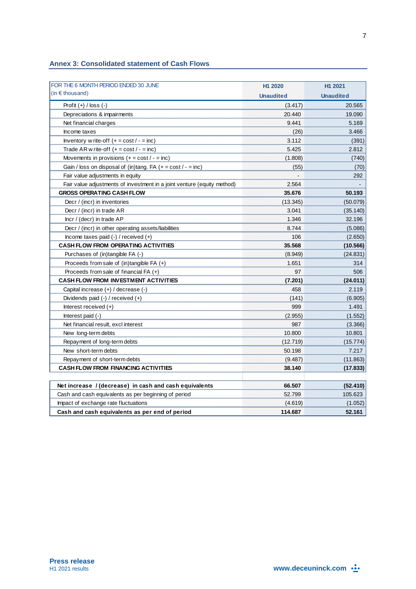|  | <b>Annex 3: Consolidated statement of Cash Flows</b> |  |  |  |
|--|------------------------------------------------------|--|--|--|
|--|------------------------------------------------------|--|--|--|

| FOR THE 6 MONTH PERIOD ENDED 30 JUNE                                    | H1 2020          | H1 2021          |
|-------------------------------------------------------------------------|------------------|------------------|
| (in $\epsilon$ thousand)                                                | <b>Unaudited</b> | <b>Unaudited</b> |
| Profit $(+)$ / loss $(-)$                                               | (3.417)          | 20.565           |
| Depreciations & impairments                                             | 20.440           | 19.090           |
| Net financial charges                                                   | 9.441            | 5.169            |
| Income taxes                                                            | (26)             | 3.466            |
| Inventory w rite-off $(+ = \cos t / - = \text{inc})$                    | 3.112            | (391)            |
| Trade AR w rite-off $(+ = \text{cost}/ - = \text{inc})$                 | 5.425            | 2.812            |
| Movements in provisions $(+ = \text{cost}/ - = \text{inc})$             | (1.808)          | (740)            |
| Gain / loss on disposal of (in)tang. FA $(+ = cost / - = inc)$          | (55)             | (70)             |
| Fair value adjustments in equity                                        |                  | 292              |
| Fair value adjustments of investment in a joint venture (equity method) | 2.564            |                  |
| <b>GROSS OPERATING CASH FLOW</b>                                        | 35.676           | 50.193           |
| Decr / (incr) in inventories                                            | (13.345)         | (50.079)         |
| Decr / (incr) in trade AR                                               | 3.041            | (35.140)         |
| Incr / (decr) in trade AP                                               | 1.346            | 32.196           |
| Decr / (incr) in other operating assets/liabilities                     | 8.744            | (5.086)          |
| Income taxes paid $(-)$ / received $(+)$                                | 106              | (2.650)          |
| <b>CASH FLOW FROM OPERATING ACTIVITIES</b>                              | 35.568           | (10.566)         |
| Purchases of (in)tangible FA (-)                                        | (8.949)          | (24.831)         |
| Proceeds from sale of $(in)$ tangible FA $(+)$                          | 1.651            | 314              |
| Proceeds from sale of financial $FA (+)$                                | 97               | 506              |
| <b>CASH FLOW FROM INVESTMENT ACTIVITIES</b>                             | (7.201)          | (24.011)         |
| Capital increase (+) / decrease (-)                                     | 458              | 2.119            |
| Dividends paid $(-)$ / received $(+)$                                   | (141)            | (6.905)          |
| Interest received $(+)$                                                 | 999              | 1.491            |
| Interest paid $(-)$                                                     | (2.955)          | (1.552)          |
| Net financial result, excl interest                                     | 987              | (3.366)          |
| New long-term debts                                                     | 10.800           | 10.801           |
| Repayment of long-term debts                                            | (12.719)         | (15.774)         |
| New short-term debts                                                    | 50.198           | 7.217            |
| Repayment of short-term debts                                           | (9.487)          | (11.863)         |
| <b>CASH FLOW FROM FINANCING ACTIVITIES</b>                              | 38.140           | (17.833)         |
|                                                                         |                  |                  |
| Net increase / (decrease) in cash and cash equivalents                  | 66.507           | (52.410)         |
| Cash and cash equivalents as per beginning of period                    | 52.799           | 105.623          |
| Impact of exchange rate fluctuations                                    | (4.619)          | (1.052)          |
| Cash and cash equivalents as per end of period                          | 114.687          | 52.161           |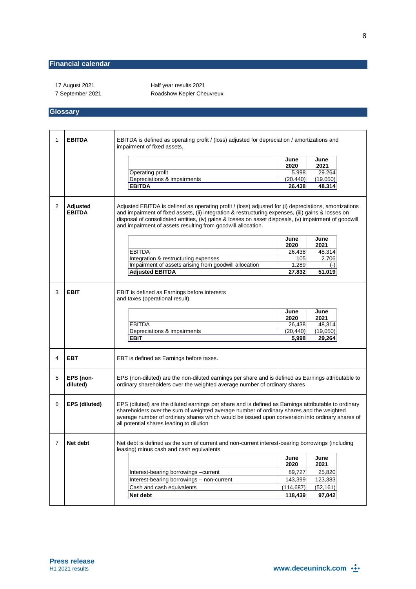### **Financial calendar**

17 August 2021 **Half year results 2021** 7 September 2021 Roadshow Kepler Cheuvreux

### **Glossary**

| 1 | <b>EBITDA</b>             | EBITDA is defined as operating profit / (loss) adjusted for depreciation / amortizations and<br>impairment of fixed assets.                                                                                                                                                                                                                                                          |                                              |                                              |  |
|---|---------------------------|--------------------------------------------------------------------------------------------------------------------------------------------------------------------------------------------------------------------------------------------------------------------------------------------------------------------------------------------------------------------------------------|----------------------------------------------|----------------------------------------------|--|
|   |                           |                                                                                                                                                                                                                                                                                                                                                                                      | June<br>2020                                 | June<br>2021                                 |  |
|   |                           | Operating profit                                                                                                                                                                                                                                                                                                                                                                     | 5.998                                        | 29.264                                       |  |
|   |                           | Depreciations & impairments                                                                                                                                                                                                                                                                                                                                                          | (20.440)                                     | (19.050)                                     |  |
|   |                           | <b>EBITDA</b>                                                                                                                                                                                                                                                                                                                                                                        | 26.438                                       | 48.314                                       |  |
| 2 | Adjusted<br><b>EBITDA</b> | Adjusted EBITDA is defined as operating profit / (loss) adjusted for (i) depreciations, amortizations<br>and impairment of fixed assets, (ii) integration & restructuring expenses, (iii) gains & losses on<br>disposal of consolidated entities, (iv) gains & losses on asset disposals, (v) impairment of goodwill<br>and impairment of assets resulting from goodwill allocation. |                                              |                                              |  |
|   |                           |                                                                                                                                                                                                                                                                                                                                                                                      | June                                         | June                                         |  |
|   |                           |                                                                                                                                                                                                                                                                                                                                                                                      | 2020                                         | 2021                                         |  |
|   |                           | <b>EBITDA</b>                                                                                                                                                                                                                                                                                                                                                                        | 26.438                                       | 48.314<br>2.706                              |  |
|   |                           | Integration & restructuring expenses<br>Impairment of assets arising from goodwill allocation                                                                                                                                                                                                                                                                                        | 105<br>1.289                                 |                                              |  |
|   |                           | <b>Adjusted EBITDA</b>                                                                                                                                                                                                                                                                                                                                                               | 27.832                                       | $(-)$<br>51.019                              |  |
|   |                           |                                                                                                                                                                                                                                                                                                                                                                                      |                                              |                                              |  |
| 3 | <b>EBIT</b>               | EBIT is defined as Earnings before interests<br>and taxes (operational result).<br><b>EBITDA</b><br>Depreciations & impairments<br><b>EBIT</b>                                                                                                                                                                                                                                       | June<br>2020<br>26,438<br>(20, 440)<br>5,998 | June<br>2021<br>48,314<br>(19,050)<br>29,264 |  |
| 4 | <b>EBT</b>                | EBT is defined as Earnings before taxes.                                                                                                                                                                                                                                                                                                                                             |                                              |                                              |  |
| 5 | EPS (non-<br>diluted)     | EPS (non-diluted) are the non-diluted earnings per share and is defined as Earnings attributable to<br>ordinary shareholders over the weighted average number of ordinary shares                                                                                                                                                                                                     |                                              |                                              |  |
| 6 | <b>EPS (diluted)</b>      | EPS (diluted) are the diluted earnings per share and is defined as Earnings attributable to ordinary<br>shareholders over the sum of weighted average number of ordinary shares and the weighted<br>average number of ordinary shares which would be issued upon conversion into ordinary shares of<br>all potential shares leading to dilution                                      |                                              |                                              |  |
| 7 | Net debt                  | Net debt is defined as the sum of current and non-current interest-bearing borrowings (including<br>leasing) minus cash and cash equivalents                                                                                                                                                                                                                                         |                                              |                                              |  |
|   |                           |                                                                                                                                                                                                                                                                                                                                                                                      | June<br>2020                                 | June<br>2021                                 |  |
|   |                           | Interest-bearing borrowings -current                                                                                                                                                                                                                                                                                                                                                 | 89,727                                       | 25,820                                       |  |
|   |                           | Interest-bearing borrowings - non-current                                                                                                                                                                                                                                                                                                                                            | 143,399                                      | 123,383                                      |  |
|   |                           | Cash and cash equivalents                                                                                                                                                                                                                                                                                                                                                            | (114, 687)                                   | (52, 161)                                    |  |
|   |                           | Net debt                                                                                                                                                                                                                                                                                                                                                                             | 118,439                                      | 97,042                                       |  |
|   |                           |                                                                                                                                                                                                                                                                                                                                                                                      |                                              |                                              |  |